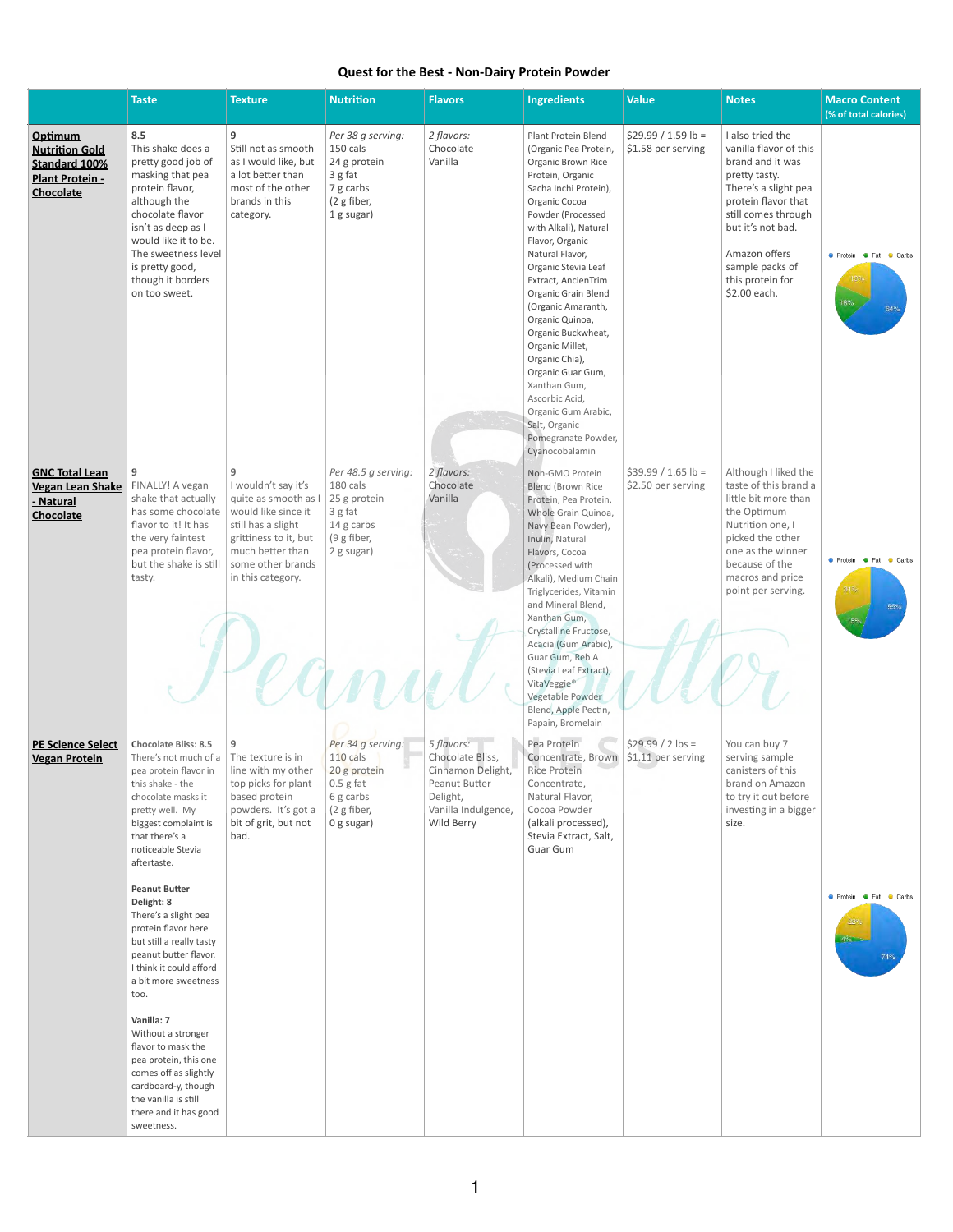## **Quest for the Best - Non-Dairy Protein Powder**

|                                                                                                 | <b>Taste</b>                                                                                                                                                                                                                                                                                                                                                                                                                                                                                                                                                                                                                    | <b>Texture</b>                                                                                                                                                                       | <b>Nutrition</b>                                                                                         | <b>Flavors</b>                                                                                                        | <b>Ingredients</b>                                                                                                                                                                                                                                                                                                                                                                                                                                                                                                                    | <b>Value</b>                               | <b>Notes</b>                                                                                                                                                                                                                                       | <b>Macro Content</b><br>(% of total calories)                  |
|-------------------------------------------------------------------------------------------------|---------------------------------------------------------------------------------------------------------------------------------------------------------------------------------------------------------------------------------------------------------------------------------------------------------------------------------------------------------------------------------------------------------------------------------------------------------------------------------------------------------------------------------------------------------------------------------------------------------------------------------|--------------------------------------------------------------------------------------------------------------------------------------------------------------------------------------|----------------------------------------------------------------------------------------------------------|-----------------------------------------------------------------------------------------------------------------------|---------------------------------------------------------------------------------------------------------------------------------------------------------------------------------------------------------------------------------------------------------------------------------------------------------------------------------------------------------------------------------------------------------------------------------------------------------------------------------------------------------------------------------------|--------------------------------------------|----------------------------------------------------------------------------------------------------------------------------------------------------------------------------------------------------------------------------------------------------|----------------------------------------------------------------|
| Optimum<br><b>Nutrition Gold</b><br><b>Standard 100%</b><br><b>Plant Protein -</b><br>Chocolate | 8.5<br>This shake does a<br>pretty good job of<br>masking that pea<br>protein flavor,<br>although the<br>chocolate flavor<br>isn't as deep as I<br>would like it to be.<br>The sweetness level<br>is pretty good,<br>though it borders<br>on too sweet.                                                                                                                                                                                                                                                                                                                                                                         | 9<br>Still not as smooth<br>as I would like, but<br>a lot better than<br>most of the other<br>brands in this<br>category.                                                            | Per 38 g serving:<br>150 cals<br>24 g protein<br>3 g fat<br>7 g carbs<br>(2 g fiber,<br>1 g sugar)       | 2 flavors:<br>Chocolate<br>Vanilla                                                                                    | Plant Protein Blend<br>(Organic Pea Protein,<br>Organic Brown Rice<br>Protein, Organic<br>Sacha Inchi Protein),<br>Organic Cocoa<br>Powder (Processed<br>with Alkali), Natural<br>Flavor, Organic<br>Natural Flavor,<br>Organic Stevia Leaf<br>Extract, AncienTrim<br>Organic Grain Blend<br>(Organic Amaranth,<br>Organic Quinoa,<br>Organic Buckwheat,<br>Organic Millet,<br>Organic Chia),<br>Organic Guar Gum,<br>Xanthan Gum,<br>Ascorbic Acid,<br>Organic Gum Arabic,<br>Salt, Organic<br>Pomegranate Powder,<br>Cyanocobalamin | $$29.99 / 1.59 lb =$<br>\$1.58 per serving | I also tried the<br>vanilla flavor of this<br>brand and it was<br>pretty tasty.<br>There's a slight pea<br>protein flavor that<br>still comes through<br>but it's not bad.<br>Amazon offers<br>sample packs of<br>this protein for<br>\$2.00 each. | <b>C</b> Protein <b>C</b> Fat<br><b>Carbs</b><br>$18\%$<br>64% |
| <b>GNC Total Lean</b><br><b>Vegan Lean Shake</b><br>- Natural<br><b>Chocolate</b>               | 9<br>FINALLY! A vegan<br>shake that actually<br>has some chocolate<br>flavor to it! It has<br>the very faintest<br>pea protein flavor,<br>but the shake is still<br>tasty.                                                                                                                                                                                                                                                                                                                                                                                                                                                      | 9<br>I wouldn't say it's<br>quite as smooth as I<br>would like since it<br>still has a slight<br>grittiness to it, but<br>much better than<br>some other brands<br>in this category. | Per 48.5 g serving:<br>180 cals<br>25 g protein<br>3 g fat<br>14 g carbs<br>(9 g fiber,<br>2 g sugar)    | 2 flavors:<br>Chocolate<br>Vanilla                                                                                    | Non-GMO Protein<br><b>Blend (Brown Rice</b><br>Protein, Pea Protein,<br>Whole Grain Quinoa,<br>Navy Bean Powder),<br>Inulin, Natural<br>Flavors, Cocoa<br>(Processed with<br>Alkali), Medium Chain<br>Triglycerides, Vitamin<br>and Mineral Blend,<br>Xanthan Gum,<br>Crystalline Fructose,<br>Acacia (Gum Arabic),<br>Guar Gum, Reb A<br>(Stevia Leaf Extract),<br>VitaVeggie®<br>Vegetable Powder<br>Blend, Apple Pectin,<br>Papain, Bromelain                                                                                      | $$39.99 / 1.65$ lb =<br>\$2.50 per serving | Although I liked the<br>taste of this brand a<br>little bit more than<br>the Optimum<br>Nutrition one, I<br>picked the other<br>one as the winner<br>because of the<br>macros and price<br>point per serving.                                      | ● Protein ● Fat ● Carbs<br>31%<br>55%<br>15%                   |
| <b>PE Science Select</b><br><b>Vegan Protein</b>                                                | <b>Chocolate Bliss: 8.5</b><br>There's not much of a<br>pea protein flavor in<br>this shake - the<br>chocolate masks it<br>pretty well. My<br>biggest complaint is<br>that there's a<br>noticeable Stevia<br>aftertaste.<br><b>Peanut Butter</b><br>Delight: 8<br>There's a slight pea<br>protein flavor here<br>but still a really tasty<br>peanut butter flavor.<br>I think it could afford<br>a bit more sweetness<br>too.<br>Vanilla: 7<br>Without a stronger<br>flavor to mask the<br>pea protein, this one<br>comes off as slightly<br>cardboard-y, though<br>the vanilla is still<br>there and it has good<br>sweetness. | 9<br>The texture is in<br>line with my other<br>top picks for plant<br>based protein<br>powders. It's got a<br>bit of grit, but not<br>bad.                                          | Per 34 g serving:<br>$110$ cals<br>20 g protein<br>$0.5$ g fat<br>6 g carbs<br>(2 g fiber,<br>0 g sugar) | 5 flavors:<br>Chocolate Bliss,<br>Cinnamon Delight,<br>Peanut Butter<br>Delight,<br>Vanilla Indulgence,<br>Wild Berry | Pea Protein<br>Concentrate, Brown \$1.11 per serving<br><b>Rice Protein</b><br>Concentrate,<br>Natural Flavor,<br>Cocoa Powder<br>(alkali processed),<br>Stevia Extract, Salt,<br>Guar Gum                                                                                                                                                                                                                                                                                                                                            | $$29.99 / 2$ lbs =                         | You can buy 7<br>serving sample<br>canisters of this<br>brand on Amazon<br>to try it out before<br>investing in a bigger<br>size.                                                                                                                  | ● Protein ● Fat ● Carbs<br>4%<br>74%                           |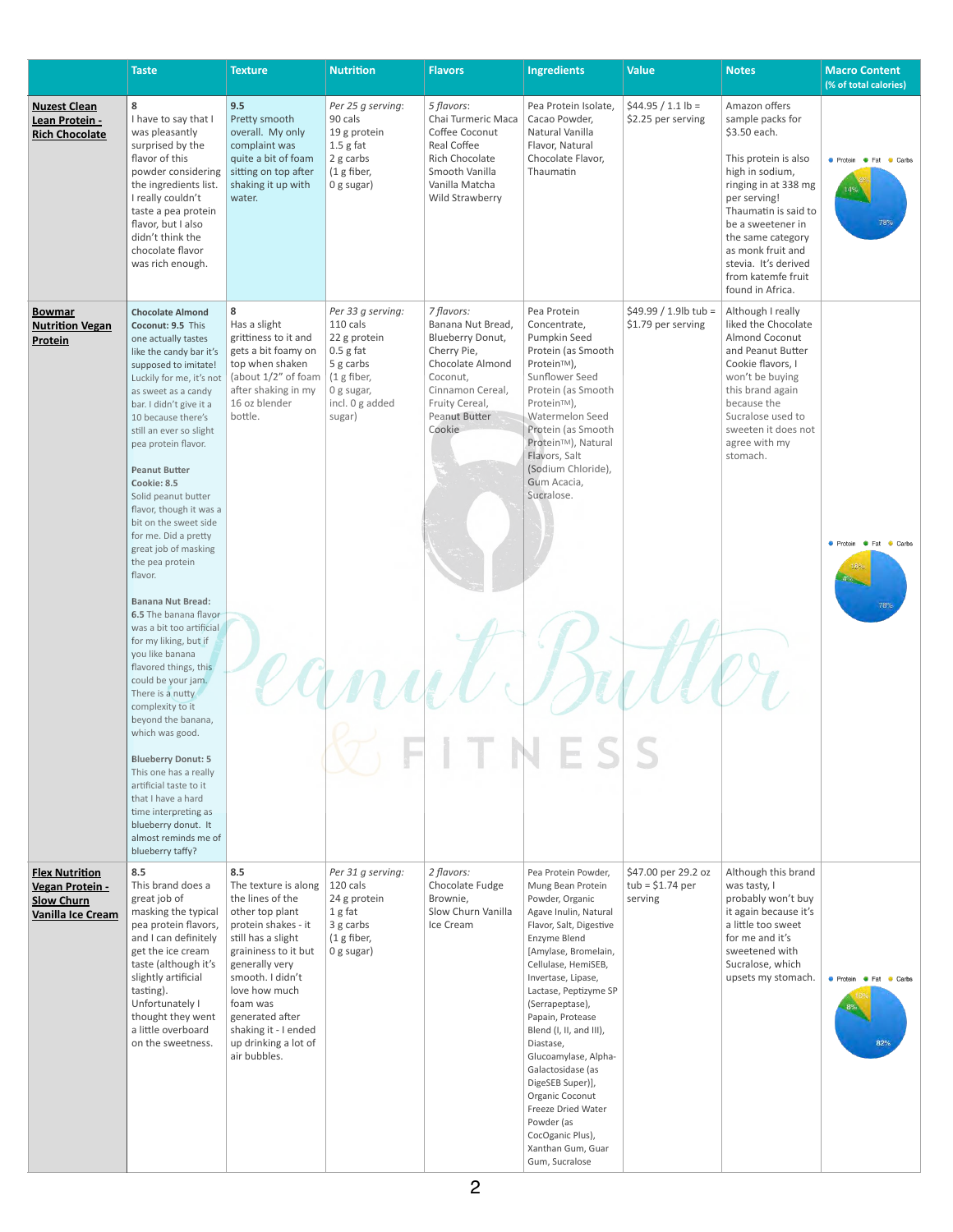|                                                                                           | <b>Taste</b>                                                                                                                                                                                                                                                                                                                                                                                                                                                                                                                                                                                                                                                                                                           | <b>Texture</b>                                                                                                                                                                                                                                                                                | <b>Nutrition</b>                                                                                                                    | <b>Flavors</b>                                                                                                                                                             | <b>Ingredients</b>                                                                                                                                                                                                                                                                                                                                                                                                                                                                              | <b>Value</b>                                        | <b>Notes</b>                                                                                                                                                                                                                                                                                  | <b>Macro Content</b><br>(% of total calories) |
|-------------------------------------------------------------------------------------------|------------------------------------------------------------------------------------------------------------------------------------------------------------------------------------------------------------------------------------------------------------------------------------------------------------------------------------------------------------------------------------------------------------------------------------------------------------------------------------------------------------------------------------------------------------------------------------------------------------------------------------------------------------------------------------------------------------------------|-----------------------------------------------------------------------------------------------------------------------------------------------------------------------------------------------------------------------------------------------------------------------------------------------|-------------------------------------------------------------------------------------------------------------------------------------|----------------------------------------------------------------------------------------------------------------------------------------------------------------------------|-------------------------------------------------------------------------------------------------------------------------------------------------------------------------------------------------------------------------------------------------------------------------------------------------------------------------------------------------------------------------------------------------------------------------------------------------------------------------------------------------|-----------------------------------------------------|-----------------------------------------------------------------------------------------------------------------------------------------------------------------------------------------------------------------------------------------------------------------------------------------------|-----------------------------------------------|
| <b>Nuzest Clean</b><br>Lean Protein -<br><b>Rich Chocolate</b>                            | 8<br>I have to say that I<br>was pleasantly<br>surprised by the<br>flavor of this<br>powder considering<br>the ingredients list.<br>I really couldn't<br>taste a pea protein<br>flavor, but I also<br>didn't think the<br>chocolate flavor<br>was rich enough.                                                                                                                                                                                                                                                                                                                                                                                                                                                         | 9.5<br>Pretty smooth<br>overall. My only<br>complaint was<br>quite a bit of foam<br>sitting on top after<br>shaking it up with<br>water.                                                                                                                                                      | Per 25 g serving:<br>90 cals<br>19 g protein<br>$1.5$ g fat<br>2 g carbs<br>(1 g fiber,<br>0 g sugar)                               | 5 flavors:<br>Chai Turmeric Maca<br>Coffee Coconut<br><b>Real Coffee</b><br><b>Rich Chocolate</b><br>Smooth Vanilla<br>Vanilla Matcha<br>Wild Strawberry                   | Pea Protein Isolate,<br>Cacao Powder,<br>Natural Vanilla<br>Flavor, Natural<br>Chocolate Flavor,<br>Thaumatin                                                                                                                                                                                                                                                                                                                                                                                   | $$44.95 / 1.1 lb =$<br>\$2.25 per serving           | Amazon offers<br>sample packs for<br>\$3.50 each.<br>This protein is also<br>high in sodium,<br>ringing in at 338 mg<br>per serving!<br>Thaumatin is said to<br>be a sweetener in<br>the same category<br>as monk fruit and<br>stevia. It's derived<br>from katemfe fruit<br>found in Africa. | ● Protein ● Fat ● Carbs<br>78%                |
| <b>Bowmar</b><br><b>Nutrition Vegan</b><br><b>Protein</b>                                 | <b>Chocolate Almond</b><br>Coconut: 9.5 This<br>one actually tastes<br>like the candy bar it's<br>supposed to imitate!<br>Luckily for me, it's not<br>as sweet as a candy<br>bar. I didn't give it a<br>10 because there's<br>still an ever so slight<br>pea protein flavor.<br><b>Peanut Butter</b><br>Cookie: 8.5<br>Solid peanut butter<br>flavor, though it was a<br>bit on the sweet side<br>for me. Did a pretty<br>great job of masking<br>the pea protein<br>flavor.<br><b>Banana Nut Bread:</b><br>6.5 The banana flavor<br>was a bit too artificial<br>for my liking, but if<br>you like banana<br>flavored things, this<br>could be your jam.<br>There is a nutty<br>complexity to it<br>beyond the banana, | 8<br>Has a slight<br>grittiness to it and<br>gets a bit foamy on<br>top when shaken<br>(about 1/2" of foam<br>after shaking in my<br>16 oz blender<br>bottle.                                                                                                                                 | Per 33 g serving:<br>110 cals<br>22 g protein<br>$0.5$ g fat<br>5 g carbs<br>(1 g fiber,<br>0 g sugar,<br>incl. 0 g added<br>sugar) | 7 flavors:<br>Banana Nut Bread,<br>Blueberry Donut,<br>Cherry Pie,<br>Chocolate Almond<br>Coconut,<br>Cinnamon Cereal,<br>Fruity Cereal,<br><b>Peanut Butter</b><br>Cookie | Pea Protein<br>Concentrate,<br>Pumpkin Seed<br>Protein (as Smooth<br>Protein™),<br>Sunflower Seed<br>Protein (as Smooth<br>Protein™),<br>Watermelon Seed<br>Protein (as Smooth<br>Protein <sup>™</sup> ), Natural<br>Flavors, Salt<br>(Sodium Chloride),<br>Gum Acacia,<br>Sucralose.                                                                                                                                                                                                           | $$49.99 / 1.9$ lb tub =<br>\$1.79 per serving       | Although I really<br>liked the Chocolate<br>Almond Coconut<br>and Peanut Butter<br>Cookie flavors, I<br>won't be buying<br>this brand again<br>because the<br>Sucralose used to<br>sweeten it does not<br>agree with my<br>stomach.                                                           | Protein <b>Carbs</b><br>$4\%$<br><b>78%</b>   |
|                                                                                           | which was good.<br><b>Blueberry Donut: 5</b><br>This one has a really<br>artificial taste to it<br>that I have a hard<br>time interpreting as<br>blueberry donut. It<br>almost reminds me of<br>blueberry taffy?                                                                                                                                                                                                                                                                                                                                                                                                                                                                                                       |                                                                                                                                                                                                                                                                                               |                                                                                                                                     |                                                                                                                                                                            |                                                                                                                                                                                                                                                                                                                                                                                                                                                                                                 |                                                     |                                                                                                                                                                                                                                                                                               |                                               |
| <b>Flex Nutrition</b><br>Vegan Protein -<br><b>Slow Churn</b><br><b>Vanilla Ice Cream</b> | 8.5<br>This brand does a<br>great job of<br>masking the typical<br>pea protein flavors,<br>and I can definitely<br>get the ice cream<br>taste (although it's<br>slightly artificial<br>tasting).<br>Unfortunately I<br>thought they went<br>a little overboard<br>on the sweetness.                                                                                                                                                                                                                                                                                                                                                                                                                                    | 8.5<br>The texture is along<br>the lines of the<br>other top plant<br>protein shakes - it<br>still has a slight<br>graininess to it but<br>generally very<br>smooth. I didn't<br>love how much<br>foam was<br>generated after<br>shaking it - I ended<br>up drinking a lot of<br>air bubbles. | Per 31 g serving:<br>120 cals<br>24 g protein<br>1 g fat<br>3 g carbs<br>(1 g fiber,<br>$0$ g sugar)                                | 2 flavors:<br>Chocolate Fudge<br>Brownie,<br>Slow Churn Vanilla<br>Ice Cream                                                                                               | Pea Protein Powder,<br>Mung Bean Protein<br>Powder, Organic<br>Agave Inulin, Natural<br>Flavor, Salt, Digestive<br>Enzyme Blend<br>[Amylase, Bromelain,<br>Cellulase, HemiSEB,<br>Invertase, Lipase,<br>Lactase, Peptizyme SP<br>(Serrapeptase),<br>Papain, Protease<br>Blend (I, II, and III),<br>Diastase,<br>Glucoamylase, Alpha-<br>Galactosidase (as<br>DigeSEB Super)],<br>Organic Coconut<br>Freeze Dried Water<br>Powder (as<br>CocOganic Plus),<br>Xanthan Gum, Guar<br>Gum, Sucralose | \$47.00 per 29.2 oz<br>$tub = $1.74$ per<br>serving | Although this brand<br>was tasty, I<br>probably won't buy<br>it again because it's<br>a little too sweet<br>for me and it's<br>sweetened with<br>Sucralose, which<br>upsets my stomach.                                                                                                       | Protein Pat Carbs<br>82%                      |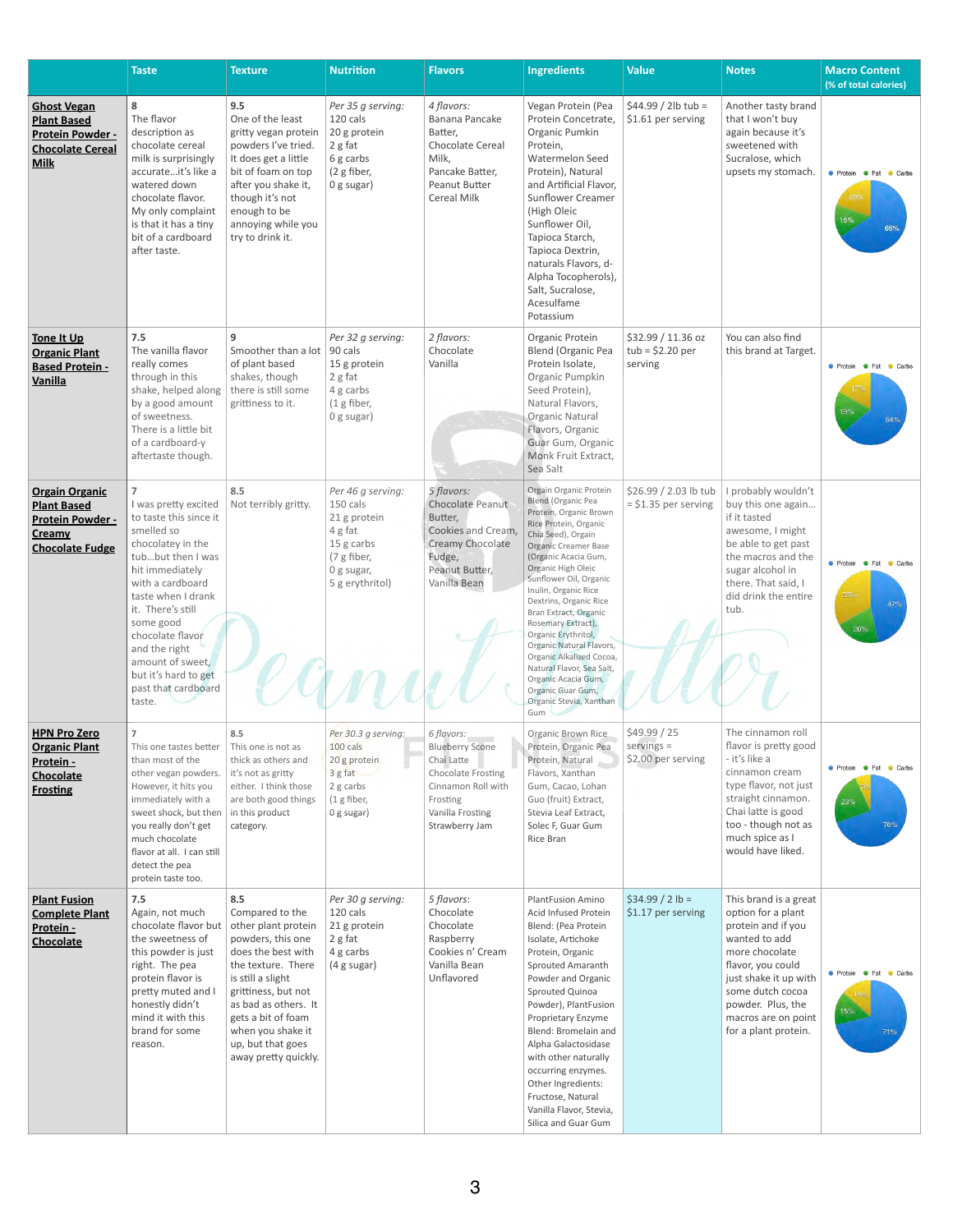## **Complete Plant Protein** -**Chocolate**

Again, not much chocolate flavor but  $\vert$  other plant protein the sweetness of this powder is just right. The pea protein flavor is pretty muted and I honestly didn't mind it with this brand for some reason. is still a slight

Compared to the powders, this one does the best with the texture. There grittiness, but not as bad as others. It gets a bit of foam when you shake it up, but that goes away pretty quickly. 120 cals 21 g protein 2 g fat 4 g carbs (4 g sugar)

|                                                                                                               | <b>Taste</b>                                                                                                                                                                                                                                                                                                                                   | <b>Texture</b>                                                                                                                                                                                                           | <b>Nutrition</b>                                                                                                       | <b>Flavors</b>                                                                                                                                   | <b>Ingredients</b>                                                                                                                                                                                                                                                                                                                                                                                                                                                                                                      | <b>Value</b>                                       | <b>Notes</b>                                                                                                                                                                                                                   | <b>Macro Content</b><br>(% of total calories)                 |
|---------------------------------------------------------------------------------------------------------------|------------------------------------------------------------------------------------------------------------------------------------------------------------------------------------------------------------------------------------------------------------------------------------------------------------------------------------------------|--------------------------------------------------------------------------------------------------------------------------------------------------------------------------------------------------------------------------|------------------------------------------------------------------------------------------------------------------------|--------------------------------------------------------------------------------------------------------------------------------------------------|-------------------------------------------------------------------------------------------------------------------------------------------------------------------------------------------------------------------------------------------------------------------------------------------------------------------------------------------------------------------------------------------------------------------------------------------------------------------------------------------------------------------------|----------------------------------------------------|--------------------------------------------------------------------------------------------------------------------------------------------------------------------------------------------------------------------------------|---------------------------------------------------------------|
| <b>Ghost Vegan</b><br><b>Plant Based</b><br><b>Protein Powder -</b><br><b>Chocolate Cereal</b><br><b>Milk</b> | 8<br>The flavor<br>description as<br>chocolate cereal<br>milk is surprisingly<br>accurateit's like a<br>watered down<br>chocolate flavor.<br>My only complaint<br>is that it has a tiny<br>bit of a cardboard<br>after taste.                                                                                                                  | 9.5<br>One of the least<br>gritty vegan protein<br>powders I've tried.<br>It does get a little<br>bit of foam on top<br>after you shake it,<br>though it's not<br>enough to be<br>annoying while you<br>try to drink it. | Per 35 g serving:<br>120 cals<br>20 g protein<br>2 g fat<br>6 g carbs<br>(2 g fiber,<br>$0$ g sugar)                   | 4 flavors:<br>Banana Pancake<br>Batter,<br>Chocolate Cereal<br>Milk,<br>Pancake Batter,<br>Peanut Butter<br><b>Cereal Milk</b>                   | Vegan Protein (Pea<br>Protein Concetrate,<br>Organic Pumkin<br>Protein,<br><b>Watermelon Seed</b><br>Protein), Natural<br>and Artificial Flavor,<br><b>Sunflower Creamer</b><br>(High Oleic<br>Sunflower Oil,<br>Tapioca Starch,<br>Tapioca Dextrin,<br>naturals Flavors, d-<br>Alpha Tocopherols),<br>Salt, Sucralose,<br>Acesulfame<br>Potassium                                                                                                                                                                      | $$44.99 / 2 lb$ tub =<br>\$1.61 per serving        | Another tasty brand<br>that I won't buy<br>again because it's<br>sweetened with<br>Sucralose, which<br>upsets my stomach.                                                                                                      | Protein <b>C</b> Fat<br>Carbs<br>15%<br>66%                   |
| Tone It Up<br><b>Organic Plant</b><br><b>Based Protein -</b><br>Vanilla                                       | 7.5<br>The vanilla flavor<br>really comes<br>through in this<br>shake, helped along<br>by a good amount<br>of sweetness.<br>There is a little bit<br>of a cardboard-y<br>aftertaste though.                                                                                                                                                    | 9<br>Smoother than a lot<br>of plant based<br>shakes, though<br>there is still some<br>grittiness to it.                                                                                                                 | Per 32 g serving:<br>90 cals<br>15 g protein<br>2 g fat<br>4 g carbs<br>(1 g fiber,<br>$0$ g sugar)                    | 2 flavors:<br>Chocolate<br>Vanilla                                                                                                               | Organic Protein<br><b>Blend (Organic Pea</b><br>Protein Isolate,<br>Organic Pumpkin<br>Seed Protein),<br>Natural Flavors,<br><b>Organic Natural</b><br>Flavors, Organic<br>Guar Gum, Organic<br>Monk Fruit Extract,<br>Sea Salt                                                                                                                                                                                                                                                                                         | \$32.99 / 11.36 oz<br>$tub = $2.20$ per<br>serving | You can also find<br>this brand at Target.                                                                                                                                                                                     | <b>Contact Protein Contact Service</b><br>Carbs<br>19%<br>64% |
| <b>Orgain Organic</b><br><b>Plant Based</b><br><b>Protein Powder -</b><br>Creamy<br><b>Chocolate Fudge</b>    | I was pretty excited   Not terribly gritty.<br>to taste this since it<br>smelled so<br>chocolatey in the<br>tubbut then I was<br>hit immediately<br>with a cardboard<br>taste when I drank<br>it. There's still<br>some good<br>chocolate flavor<br>and the right<br>amount of sweet,<br>but it's hard to get<br>past that cardboard<br>taste. | 8.5                                                                                                                                                                                                                      | Per 46 g serving:<br>150 cals<br>21 g protein<br>4 g fat<br>15 g carbs<br>(7 g fiber,<br>0 g sugar,<br>5 g erythritol) | 5 flavors:<br>Chocolate Peanut<br>Butter,<br>Cookies and Cream,<br>Creamy Chocolate<br>Fudge,<br>Peanut Butter,<br>Vanilla Bean                  | Orgain Organic Protein<br>Blend (Organic Pea<br>Protein, Organic Brown<br>Rice Protein, Organic<br>Chia Seed), Orgain<br><b>Organic Creamer Base</b><br>(Organic Acacia Gum,<br>Organic High Oleic<br>Sunflower Oil, Organic<br>Inulin, Organic Rice<br>Dextrins, Organic Rice<br>Bran Extract, Organic<br>Rosemary Extract),<br>Organic Erythritol,<br>Organic Natural Flavors,<br>Organic Alkalized Cocoa,<br>Natural Flavor, Sea Salt,<br>Organic Acacia Gum,<br>Organic Guar Gum,<br>Organic Stevia, Xanthan<br>Gum | $$26.99 / 2.03$ lb tub                             | I probably wouldn't<br>$=$ \$1.35 per serving   buy this one again<br>if it tasted<br>awesome, I might<br>be able to get past<br>the macros and the<br>sugar alcohol in<br>there. That said, I<br>did drink the entire<br>tub. | ● Protein ● Fat ● Carbs<br>33%<br>47%<br>20%                  |
| <b>HPN Pro Zero</b><br><b>Organic Plant</b><br>Protein -<br><b>Chocolate</b><br><b>Frosting</b>               | This one tastes better<br>than most of the<br>other vegan powders.<br>However, it hits you<br>immediately with a<br>sweet shock, but then<br>you really don't get<br>much chocolate<br>flavor at all. I can still<br>detect the pea<br>protein taste too.                                                                                      | 8.5<br>This one is not as<br>thick as others and<br>it's not as gritty<br>either. I think those<br>are both good things<br>in this product<br>category.                                                                  | Per 30.3 g serving:<br>100 cals<br>20 g protein<br>3 g fat<br>2 g carbs<br>$(1$ g fiber,<br>0 g sugar)                 | 6 flavors:<br><b>Blueberry Scone</b><br>Chai Latte<br>Chocolate Frosting<br>Cinnamon Roll with<br>Frosting<br>Vanilla Frosting<br>Strawberry Jam | Organic Brown Rice<br>Protein, Organic Pea<br>Protein, Natural<br>Flavors, Xanthan<br>Gum, Cacao, Lohan<br>Guo (fruit) Extract,<br>Stevia Leaf Extract,<br>Solec F, Guar Gum<br>Rice Bran                                                                                                                                                                                                                                                                                                                               | \$49.99 / 25<br>$servings =$<br>\$2.00 per serving | The cinnamon roll<br>flavor is pretty good<br>- it's like a<br>cinnamon cream<br>type flavor, not just<br>straight cinnamon.<br>Chai latte is good<br>too - though not as<br>much spice as I<br>would have liked.              | <b>C</b> Protein <b>C</b> Fat<br>Carbs<br>23%<br>70%          |
| <b>Plant Fusion</b>                                                                                           | 7.5                                                                                                                                                                                                                                                                                                                                            | 8.5                                                                                                                                                                                                                      | Per 30 g serving:                                                                                                      | 5 flavors:                                                                                                                                       | <b>PlantFusion Amino</b>                                                                                                                                                                                                                                                                                                                                                                                                                                                                                                | $$34.99 / 2 lb =$                                  | This brand is a great                                                                                                                                                                                                          |                                                               |

Chocolate Chocolate Raspberry Cookies n' Cream Vanilla Bean Unflavored

Acid Infused Protein Blend: (Pea Protein Isolate, Artichoke Protein, Organic Sprouted Amaranth Powder and Organic Sprouted Quinoa Powder), PlantFusion Proprietary Enzyme Blend: Bromelain and Alpha Galactosidase with other naturally occurring enzymes. Other Ingredients: Fructose, Natural Vanilla Flavor, Stevia, Silica and Guar Gum

\$1.17 per serving

option for a plant protein and if you wanted to add more chocolate flavor, you could just shake it up with some dutch cocoa powder. Plus, the macros are on point for a plant protein.

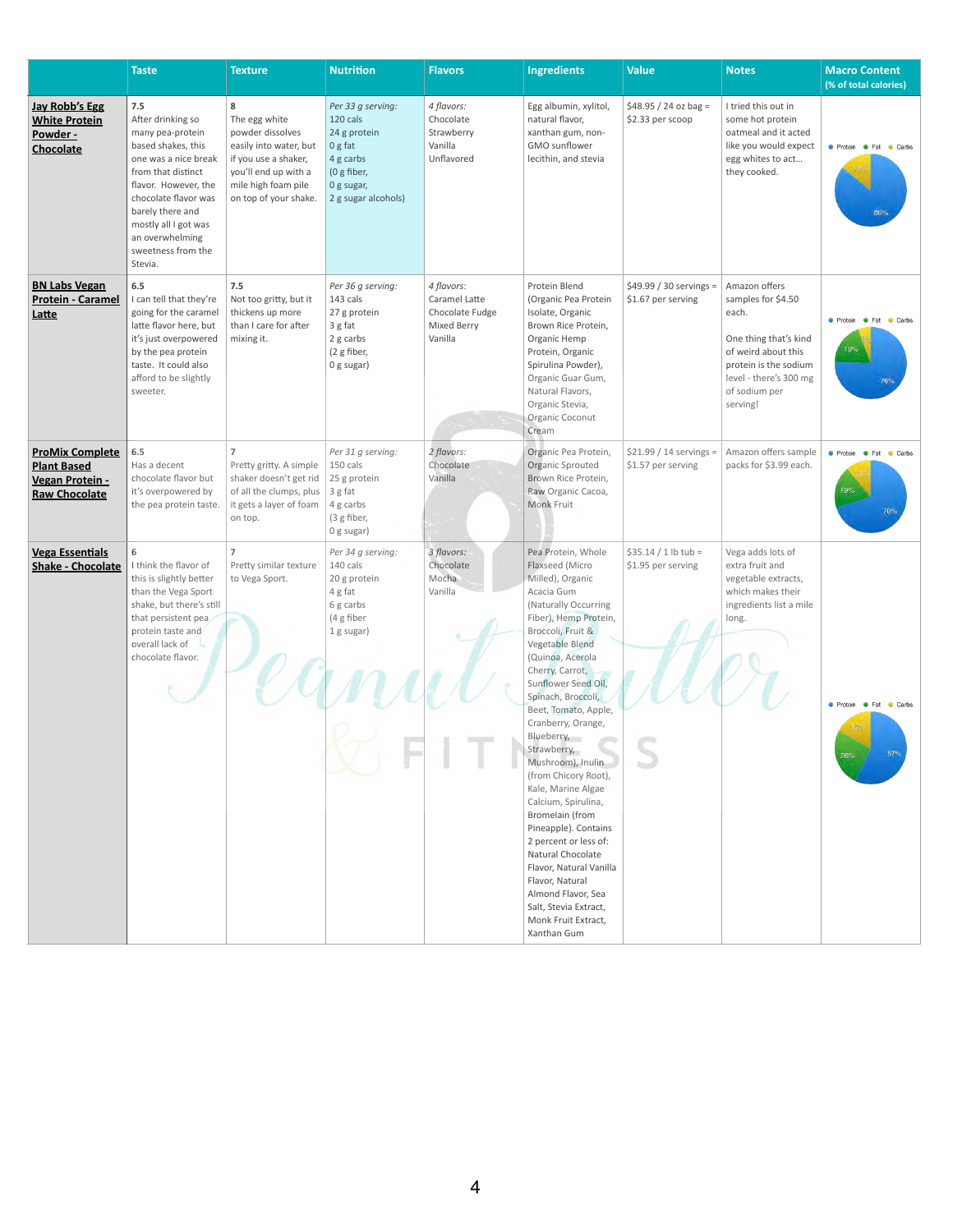|                                                                                         | <b>Taste</b>                                                                                                                                                                                                                                                     | <b>Texture</b>                                                                                                                                                   | <b>Nutrition</b>                                                                                                            | <b>Flavors</b>                                                           | <b>Ingredients</b>                                                                                                                                                                                                                                                                                                                                                                                                                                                                                                                                                                                              | <b>Value</b>                                   | <b>Notes</b>                                                                                                                                                                 | <b>Macro Content</b><br>(% of total calories)                                                          |
|-----------------------------------------------------------------------------------------|------------------------------------------------------------------------------------------------------------------------------------------------------------------------------------------------------------------------------------------------------------------|------------------------------------------------------------------------------------------------------------------------------------------------------------------|-----------------------------------------------------------------------------------------------------------------------------|--------------------------------------------------------------------------|-----------------------------------------------------------------------------------------------------------------------------------------------------------------------------------------------------------------------------------------------------------------------------------------------------------------------------------------------------------------------------------------------------------------------------------------------------------------------------------------------------------------------------------------------------------------------------------------------------------------|------------------------------------------------|------------------------------------------------------------------------------------------------------------------------------------------------------------------------------|--------------------------------------------------------------------------------------------------------|
| <b>Jay Robb's Egg</b><br><b>White Protein</b><br>Powder -<br>Chocolate                  | 7.5<br>After drinking so<br>many pea-protein<br>based shakes, this<br>one was a nice break<br>from that distinct<br>flavor. However, the<br>chocolate flavor was<br>barely there and<br>mostly all I got was<br>an overwhelming<br>sweetness from the<br>Stevia. | 8<br>The egg white<br>powder dissolves<br>easily into water, but<br>if you use a shaker,<br>you'll end up with a<br>mile high foam pile<br>on top of your shake. | Per 33 g serving:<br>120 cals<br>24 g protein<br>0 g fat<br>4 g carbs<br>(0 $g$ fiber,<br>0 g sugar,<br>2 g sugar alcohols) | 4 flavors:<br>Chocolate<br>Strawberry<br>Vanilla<br>Unflavored           | Egg albumin, xylitol,<br>natural flavor,<br>xanthan gum, non-<br>GMO sunflower<br>lecithin, and stevia                                                                                                                                                                                                                                                                                                                                                                                                                                                                                                          | $$48.95 / 24$ oz bag =<br>\$2.33 per scoop     | I tried this out in<br>some hot protein<br>oatmeal and it acted<br>like you would expect<br>egg whites to act<br>they cooked.                                                | <b>O</b> Protein <b>O</b> Fat<br>Carbs<br>86%                                                          |
| <b>BN Labs Vegan</b><br><b>Protein - Caramel</b><br>Latte                               | 6.5<br>I can tell that they're<br>going for the caramel<br>latte flavor here, but<br>it's just overpowered<br>by the pea protein<br>taste. It could also<br>afford to be slightly<br>sweeter.                                                                    | 7.5<br>Not too gritty, but it<br>thickens up more<br>than I care for after<br>mixing it.                                                                         | Per 36 g serving:<br>143 cals<br>27 g protein<br>3 g fat<br>2 g carbs<br>(2 g fiber,<br>0 g sugar)                          | 4 flavors:<br>Caramel Latte<br>Chocolate Fudge<br>Mixed Berry<br>Vanilla | Protein Blend<br>(Organic Pea Protein<br>Isolate, Organic<br>Brown Rice Protein,<br>Organic Hemp<br>Protein, Organic<br>Spirulina Powder),<br>Organic Guar Gum,<br>Natural Flavors,<br>Organic Stevia,<br>Organic Coconut<br>Cream                                                                                                                                                                                                                                                                                                                                                                              | \$49.99 / 30 servings =<br>\$1.67 per serving  | Amazon offers<br>samples for \$4.50<br>each.<br>One thing that's kind<br>of weird about this<br>protein is the sodium<br>level - there's 300 mg<br>of sodium per<br>serving! | $\bullet$ Fat<br>Carbs<br><b>C</b> Protein<br>76%                                                      |
| <b>ProMix Complete</b><br><b>Plant Based</b><br>Vegan Protein -<br><b>Raw Chocolate</b> | 6.5<br>Has a decent<br>chocolate flavor but<br>it's overpowered by<br>the pea protein taste.                                                                                                                                                                     | $\overline{7}$<br>Pretty gritty. A simple<br>shaker doesn't get rid<br>of all the clumps, plus<br>it gets a layer of foam $\vert$ 4 g carbs<br>on top.           | Per 31 g serving:<br>150 cals<br>25 g protein<br>3 g fat<br>(3 g fiber,<br>0 g sugar)                                       | 2 flavors:<br>Chocolate<br>Vanilla                                       | Organic Pea Protein,<br>Organic Sprouted<br>Brown Rice Protein,<br>Raw Organic Cacoa,<br><b>Monk Fruit</b>                                                                                                                                                                                                                                                                                                                                                                                                                                                                                                      | $$21.99 / 14$ servings =<br>\$1.57 per serving | Amazon offers sample<br>packs for \$3.99 each.                                                                                                                               | <b>O</b> Protein <b>O</b> Fat<br><b>Carbs</b><br>19%<br>70%                                            |
| <b>Vega Essentials</b><br><b>Shake - Chocolate</b>                                      | 6<br>I think the flavor of<br>this is slightly better<br>than the Vega Sport<br>shake, but there's still<br>that persistent pea<br>protein taste and<br>overall lack of<br>chocolate flavor.                                                                     | $\overline{7}$<br>Pretty similar texture<br>to Vega Sport.                                                                                                       | Per 34 g serving:<br>140 cals<br>20 g protein<br>4 g fat<br>6 g carbs<br>(4 g fiber<br>1 g sugar)                           | 3 flavors:<br>Chocolate<br>Mocha<br>Vanilla                              | Pea Protein, Whole<br>Flaxseed (Micro<br>Milled), Organic<br>Acacia Gum<br>(Naturally Occurring<br>Fiber), Hemp Protein,<br>Broccoli, Fruit &<br>Vegetable Blend<br>(Quinoa, Acerola<br>Cherry, Carrot,<br>Sunflower Seed Oil,<br>Spinach, Broccoli,<br>Beet, Tomato, Apple,<br>Cranberry, Orange,<br>Blueberry,<br>Strawberry,<br>Mushroom), Inulin<br>(from Chicory Root),<br>Kale, Marine Algae<br>Calcium, Spirulina,<br>Bromelain (from<br>Pineapple). Contains<br>2 percent or less of:<br>Natural Chocolate<br>Flavor, Natural Vanilla<br>Flavor, Natural<br>Almond Flavor, Sea<br>Salt, Stevia Extract, | $$35.14 / 1 lb$ tub =<br>\$1.95 per serving    | Vega adds lots of<br>extra fruit and<br>vegetable extracts,<br>which makes their<br>ingredients list a mile<br>long.                                                         | <b>Contact Protein Contact Contact Contact Protein Contact Protein</b><br>Carbs<br>57%<br>$26^\circ$ . |

|  | Monk Fruit Extract, |  |
|--|---------------------|--|
|  | Xanthan Gum         |  |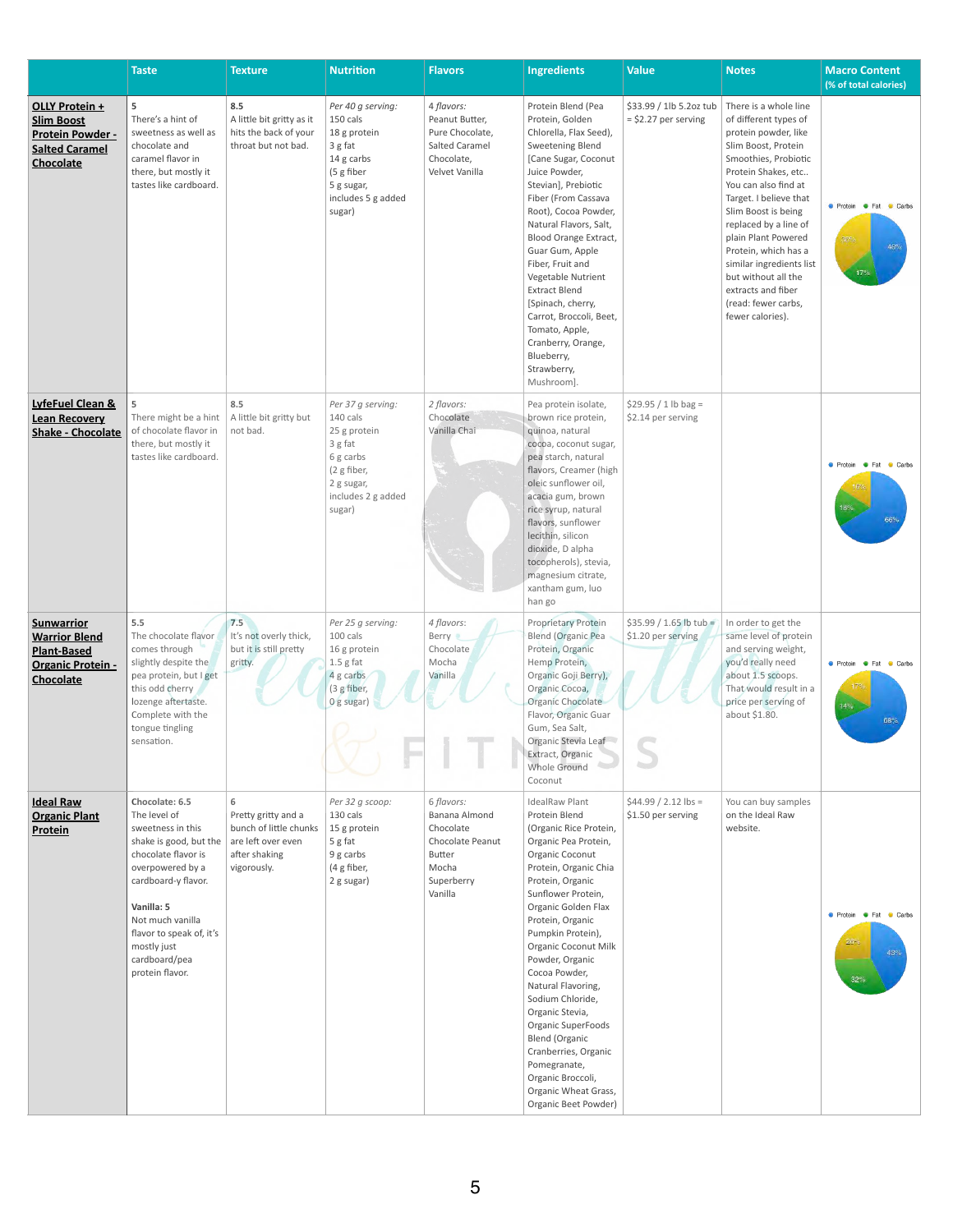|                                                                                                          | <b>Taste</b>                                                                                                                                                                                                                                                     | <b>Texture</b>                                                                                           | <b>Nutrition</b>                                                                                                                   | <b>Flavors</b>                                                                                                  | <b>Ingredients</b>                                                                                                                                                                                                                                                                                                                                                                                                                                                                                                                         | <b>Value</b>                                      | <b>Notes</b>                                                                                                                                                                                                                                                                                                                                                                                                      | <b>Macro Content</b><br>(% of total calories)                            |
|----------------------------------------------------------------------------------------------------------|------------------------------------------------------------------------------------------------------------------------------------------------------------------------------------------------------------------------------------------------------------------|----------------------------------------------------------------------------------------------------------|------------------------------------------------------------------------------------------------------------------------------------|-----------------------------------------------------------------------------------------------------------------|--------------------------------------------------------------------------------------------------------------------------------------------------------------------------------------------------------------------------------------------------------------------------------------------------------------------------------------------------------------------------------------------------------------------------------------------------------------------------------------------------------------------------------------------|---------------------------------------------------|-------------------------------------------------------------------------------------------------------------------------------------------------------------------------------------------------------------------------------------------------------------------------------------------------------------------------------------------------------------------------------------------------------------------|--------------------------------------------------------------------------|
| OLLY Protein +<br><b>Slim Boost</b><br>Protein Powder -<br><b>Salted Caramel</b><br>Chocolate            | 5<br>There's a hint of<br>sweetness as well as<br>chocolate and<br>caramel flavor in<br>there, but mostly it<br>tastes like cardboard.                                                                                                                           | 8.5<br>A little bit gritty as it<br>hits the back of your<br>throat but not bad.                         | Per 40 g serving:<br>150 cals<br>18 g protein<br>3 g fat<br>14 g carbs<br>(5 g fiber<br>5 g sugar,<br>includes 5 g added<br>sugar) | 4 flavors:<br>Peanut Butter,<br>Pure Chocolate,<br><b>Salted Caramel</b><br>Chocolate,<br>Velvet Vanilla        | Protein Blend (Pea<br>Protein, Golden<br>Chlorella, Flax Seed),<br>Sweetening Blend<br>[Cane Sugar, Coconut<br>Juice Powder,<br>Stevian], Prebiotic<br>Fiber (From Cassava<br>Root), Cocoa Powder,<br>Natural Flavors, Salt,<br>Blood Orange Extract,<br>Guar Gum, Apple<br>Fiber, Fruit and<br>Vegetable Nutrient<br><b>Extract Blend</b><br>[Spinach, cherry,<br>Carrot, Broccoli, Beet,<br>Tomato, Apple,<br>Cranberry, Orange,<br>Blueberry,<br>Strawberry,<br>Mushroom].                                                              | \$33.99 / 1lb 5.2oz tub<br>$=$ \$2.27 per serving | There is a whole line<br>of different types of<br>protein powder, like<br>Slim Boost, Protein<br>Smoothies, Probiotic<br>Protein Shakes, etc<br>You can also find at<br>Target. I believe that<br>Slim Boost is being<br>replaced by a line of<br>plain Plant Powered<br>Protein, which has a<br>similar ingredients list<br>but without all the<br>extracts and fiber<br>(read: fewer carbs,<br>fewer calories). | ● Protein ● Fat ● Carbs<br>$36\%$<br>46%<br>17%                          |
| LyfeFuel Clean &<br><b>Lean Recovery</b><br><b>Shake - Chocolate</b>                                     | 5<br>There might be a hint<br>of chocolate flavor in<br>there, but mostly it<br>tastes like cardboard.                                                                                                                                                           | 8.5<br>A little bit gritty but<br>not bad.                                                               | Per 37 g serving:<br>140 cals<br>25 g protein<br>3 g fat<br>6 g carbs<br>(2 g fiber,<br>2 g sugar,<br>includes 2 g added<br>sugar) | 2 flavors:<br>Chocolate<br>Vanilla Chai                                                                         | Pea protein isolate,<br>brown rice protein,<br>quinoa, natural<br>cocoa, coconut sugar,<br>pea starch, natural<br>flavors, Creamer (high<br>oleic sunflower oil,<br>acacia gum, brown<br>rice syrup, natural<br>flavors, sunflower<br>lecithin, silicon<br>dioxide, D alpha<br>tocopherols), stevia,<br>magnesium citrate,<br>xantham gum, luo<br>han go                                                                                                                                                                                   | $$29.95 / 1 lb$ bag =<br>\$2.14 per serving       |                                                                                                                                                                                                                                                                                                                                                                                                                   | <b>C</b> Protein <b>C</b> Fat<br>Carbs<br>18%.<br>66%                    |
| <b>Sunwarrior</b><br><b>Warrior Blend</b><br><b>Plant-Based</b><br><b>Organic Protein -</b><br>Chocolate | 5.5<br>The chocolate flavor<br>comes through<br>slightly despite the<br>pea protein, but I get<br>this odd cherry<br>lozenge aftertaste.<br>Complete with the<br>tongue tingling<br>sensation.                                                                   | 7.5<br>It's not overly thick,<br>but it is still pretty<br>gritty.                                       | Per 25 g serving:<br>100 cals<br>16 g protein<br>$1.5$ g fat<br>4 g carbs<br>(3 g fiber,<br>Og sugar)                              | 4 flavors:<br><b>Berry</b><br>Chocolate<br>Mocha<br>Vanilla                                                     | Proprietary Protein<br><b>Blend (Organic Pea</b><br>Protein, Organic<br>Hemp Protein,<br>Organic Goji Berry),<br>Organic Cocoa,<br>Organic Chocolate<br>Flavor, Organic Guar<br>Gum, Sea Salt,<br>Organic Stevia Leaf<br>Extract, Organic<br>Whole Ground<br>Coconut                                                                                                                                                                                                                                                                       | $$35.99 / 1.65$ lb tub =<br>\$1.20 per serving    | In order to get the<br>same level of protein<br>and serving weight,<br>you'd really need<br>about 1.5 scoops.<br>That would result in a<br>price per serving of<br>about \$1.80.                                                                                                                                                                                                                                  | <b>C</b> Protein <b>C</b> Fat<br><b>Carbs</b><br>14%<br>68%              |
| <b>Ideal Raw</b><br><b>Organic Plant</b><br>Protein                                                      | Chocolate: 6.5<br>The level of<br>sweetness in this<br>shake is good, but the<br>chocolate flavor is<br>overpowered by a<br>cardboard-y flavor.<br>Vanilla: 5<br>Not much vanilla<br>flavor to speak of, it's<br>mostly just<br>cardboard/pea<br>protein flavor. | 6<br>Pretty gritty and a<br>bunch of little chunks<br>are left over even<br>after shaking<br>vigorously. | Per 32 g scoop:<br>130 cals<br>15 g protein<br>5 g fat<br>9 g carbs<br>(4 g fiber,<br>2 g sugar)                                   | 6 flavors:<br>Banana Almond<br>Chocolate<br>Chocolate Peanut<br><b>Butter</b><br>Mocha<br>Superberry<br>Vanilla | <b>IdealRaw Plant</b><br>Protein Blend<br>(Organic Rice Protein,<br>Organic Pea Protein,<br>Organic Coconut<br>Protein, Organic Chia<br>Protein, Organic<br>Sunflower Protein,<br>Organic Golden Flax<br>Protein, Organic<br>Pumpkin Protein),<br><b>Organic Coconut Milk</b><br>Powder, Organic<br>Cocoa Powder,<br>Natural Flavoring,<br>Sodium Chloride,<br>Organic Stevia,<br>Organic SuperFoods<br><b>Blend (Organic</b><br>Cranberries, Organic<br>Pomegranate,<br>Organic Broccoli,<br>Organic Wheat Grass,<br>Organic Beet Powder) | $$44.99 / 2.12$ lbs =<br>\$1.50 per serving       | You can buy samples<br>on the Ideal Raw<br>website.                                                                                                                                                                                                                                                                                                                                                               | <b>•</b> Protein<br>$\bullet$ Fat<br>Carbs<br>$26^{\circ}$<br>43%<br>32% |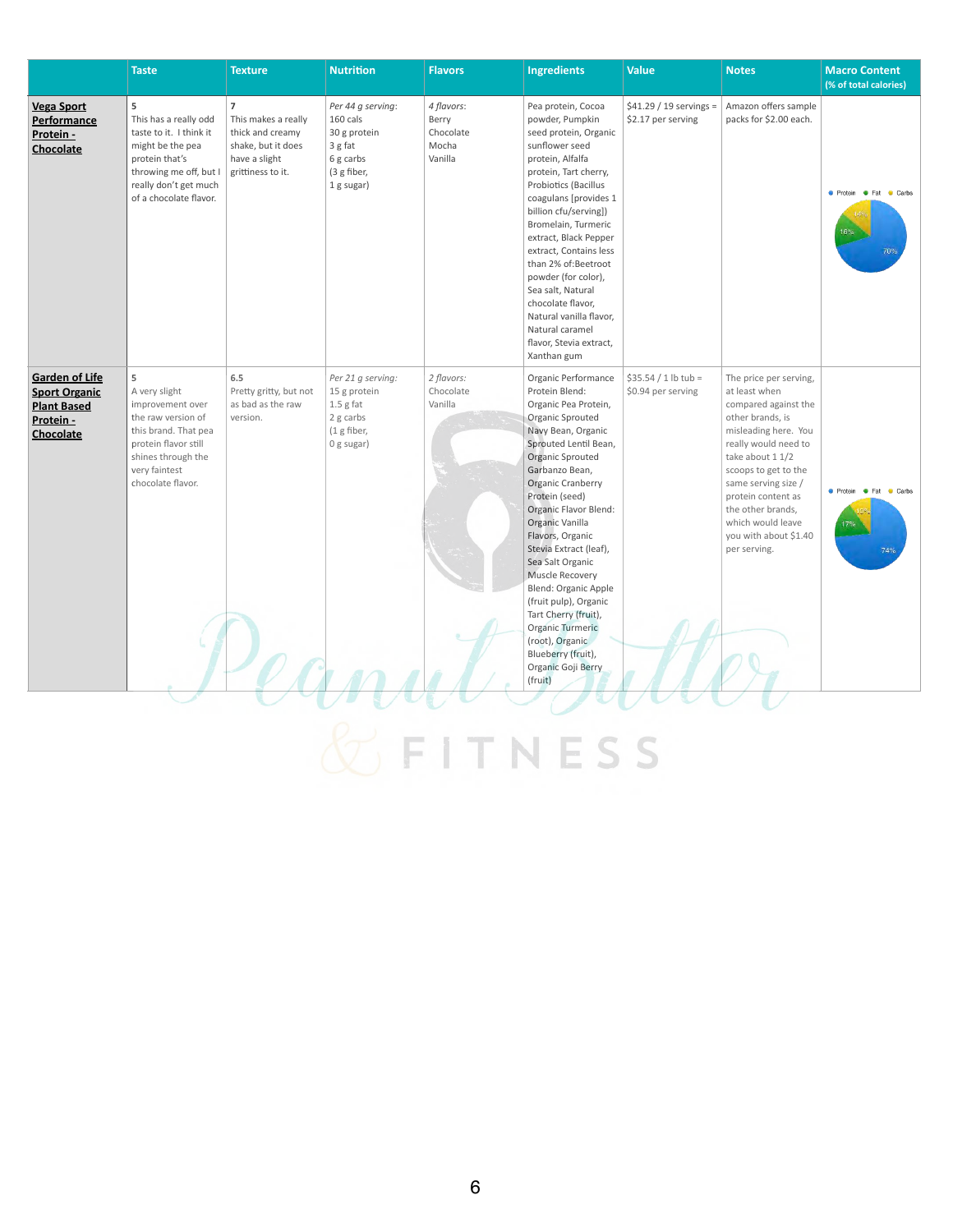|                                                                                                      | <b>Taste</b>                                                                                                                                                             | <b>Texture</b>                                                                                                        | <b>Nutrition</b>                                                                                   | <b>Flavors</b>                                       | <b>Ingredients</b>                                                                                                                                                                                                                                                                                                                                                                                                                                                                                                                  | <b>Value</b>                                   | <b>Notes</b>                                                                                                                                                                                                                                                                                                    | <b>Macro Content</b><br>(% of total calories) |
|------------------------------------------------------------------------------------------------------|--------------------------------------------------------------------------------------------------------------------------------------------------------------------------|-----------------------------------------------------------------------------------------------------------------------|----------------------------------------------------------------------------------------------------|------------------------------------------------------|-------------------------------------------------------------------------------------------------------------------------------------------------------------------------------------------------------------------------------------------------------------------------------------------------------------------------------------------------------------------------------------------------------------------------------------------------------------------------------------------------------------------------------------|------------------------------------------------|-----------------------------------------------------------------------------------------------------------------------------------------------------------------------------------------------------------------------------------------------------------------------------------------------------------------|-----------------------------------------------|
| <b>Vega Sport</b><br><b>Performance</b><br>Protein -<br><b>Chocolate</b>                             | 5<br>This has a really odd<br>taste to it. I think it<br>might be the pea<br>protein that's<br>throwing me off, but I<br>really don't get much<br>of a chocolate flavor. | $\overline{7}$<br>This makes a really<br>thick and creamy<br>shake, but it does<br>have a slight<br>grittiness to it. | Per 44 g serving:<br>160 cals<br>30 g protein<br>3 g fat<br>6 g carbs<br>(3 g fiber,<br>1 g sugar) | 4 flavors:<br>Berry<br>Chocolate<br>Mocha<br>Vanilla | Pea protein, Cocoa<br>powder, Pumpkin<br>seed protein, Organic<br>sunflower seed<br>protein, Alfalfa<br>protein, Tart cherry,<br>Probiotics (Bacillus<br>coagulans [provides 1<br>billion cfu/serving])<br>Bromelain, Turmeric<br>extract, Black Pepper<br>extract, Contains less<br>than 2% of:Beetroot<br>powder (for color),<br>Sea salt, Natural<br>chocolate flavor,<br>Natural vanilla flavor,<br>Natural caramel<br>flavor, Stevia extract,<br>Xanthan gum                                                                   | $$41.29 / 19$ servings =<br>\$2.17 per serving | Amazon offers sample<br>packs for \$2.00 each.                                                                                                                                                                                                                                                                  | ● Protein ● Fat ● Carbs<br>16%                |
| <b>Garden of Life</b><br><b>Sport Organic</b><br><b>Plant Based</b><br>Protein -<br><b>Chocolate</b> | 5<br>A very slight<br>improvement over<br>the raw version of<br>this brand. That pea<br>protein flavor still<br>shines through the<br>very faintest<br>chocolate flavor. | 6.5<br>Pretty gritty, but not<br>as bad as the raw<br>version.                                                        | Per 21 g serving:<br>15 g protein<br>$1.5$ g fat<br>2 g carbs<br>$(1$ g fiber,<br>0 g sugar)       | 2 flavors:<br>Chocolate<br>Vanilla                   | Organic Performance<br>Protein Blend:<br>Organic Pea Protein,<br>Organic Sprouted<br>Navy Bean, Organic<br>Sprouted Lentil Bean,<br><b>Organic Sprouted</b><br>Garbanzo Bean,<br><b>Organic Cranberry</b><br>Protein (seed)<br>Organic Flavor Blend:<br>Organic Vanilla<br>Flavors, Organic<br>Stevia Extract (leaf),<br>Sea Salt Organic<br>Muscle Recovery<br>Blend: Organic Apple<br>(fruit pulp), Organic<br>Tart Cherry (fruit),<br>Organic Turmeric<br>(root), Organic<br>Blueberry (fruit),<br>Organic Goji Berry<br>(fruit) | $$35.54 / 1 lb$ tub =<br>\$0.94 per serving    | The price per serving,<br>at least when<br>compared against the<br>other brands, is<br>misleading here. You<br>really would need to<br>take about 1 1/2<br>scoops to get to the<br>same serving size /<br>protein content as<br>the other brands,<br>which would leave<br>you with about \$1.40<br>per serving. | ● Protein ● Fat ● Carbs<br>17%<br>74%         |

& FITNESS